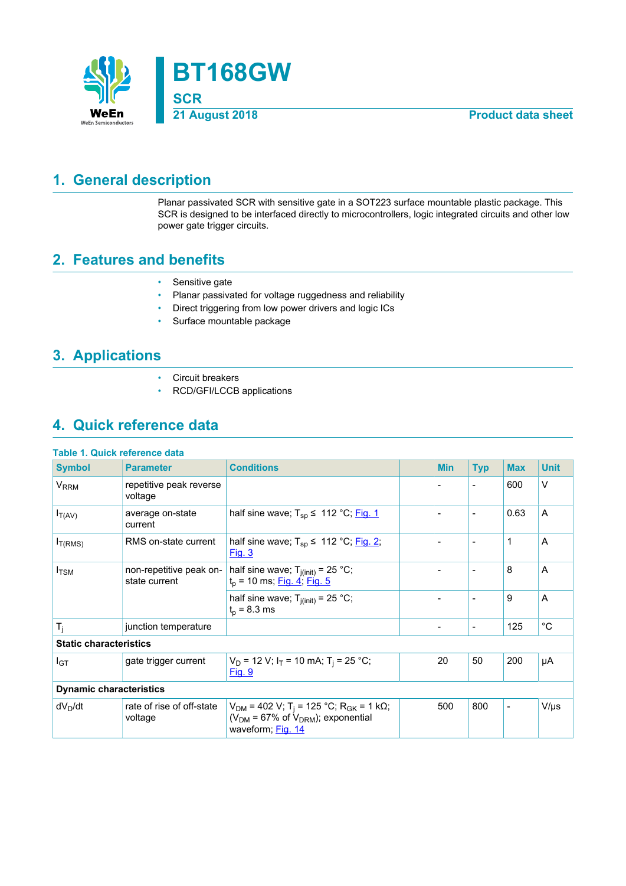

## <span id="page-0-0"></span>**1. General description**

Planar passivated SCR with sensitive gate in a SOT223 surface mountable plastic package. This SCR is designed to be interfaced directly to microcontrollers, logic integrated circuits and other low power gate trigger circuits.

## <span id="page-0-1"></span>**2. Features and benefits**

- Sensitive gate
- Planar passivated for voltage ruggedness and reliability
- Direct triggering from low power drivers and logic ICs
- Surface mountable package

## <span id="page-0-2"></span>**3. Applications**

- Circuit breakers
- RCD/GFI/LCCB applications

## <span id="page-0-3"></span>**4. Quick reference data**

| Table 1. Quick reference data |  |  |  |  |  |
|-------------------------------|--|--|--|--|--|
|-------------------------------|--|--|--|--|--|

| <b>Symbol</b>                  | <b>Parameter</b>                         | <b>Conditions</b>                                                                                                                       |  | <b>Min</b>               | <b>Typ</b>               | <b>Max</b>               | <b>Unit</b> |
|--------------------------------|------------------------------------------|-----------------------------------------------------------------------------------------------------------------------------------------|--|--------------------------|--------------------------|--------------------------|-------------|
| V <sub>RRM</sub>               | repetitive peak reverse<br>voltage       |                                                                                                                                         |  |                          | $\blacksquare$           | 600                      | $\vee$      |
| $I_{T(AV)}$                    | average on-state<br>current              | half sine wave; $T_{sp} \le 112 \degree C$ ; Fig. 1                                                                                     |  |                          | $\overline{\phantom{a}}$ | 0.63                     | A           |
| $I_{T(RMS)}$                   | RMS on-state current                     | half sine wave; $T_{sp} \leq 112 \degree C$ ; Fig. 2;<br><u>Fig. 3</u>                                                                  |  |                          | $\overline{\phantom{a}}$ | 1                        | A           |
| $I_{\text{TSM}}$               | non-repetitive peak on-<br>state current | half sine wave; $T_{j(int)} = 25 °C$ ;<br>$t_p$ = 10 ms; <u>Fig. 4; Fig. 5</u>                                                          |  |                          | $\blacksquare$           | 8                        | A           |
|                                |                                          | half sine wave; $T_{j(int)} = 25$ °C;<br>$t_{p}$ = 8.3 ms                                                                               |  | $\overline{\phantom{a}}$ | $\overline{\phantom{a}}$ | 9                        | A           |
| $T_i$                          | junction temperature                     |                                                                                                                                         |  | $\overline{\phantom{a}}$ | $\overline{\phantom{a}}$ | 125                      | $^{\circ}C$ |
| <b>Static characteristics</b>  |                                          |                                                                                                                                         |  |                          |                          |                          |             |
| I <sub>GT</sub>                | gate trigger current                     | $V_D$ = 12 V; $I_T$ = 10 mA; T <sub>i</sub> = 25 °C;<br>Fig. 9                                                                          |  | 20                       | 50                       | 200                      | μA          |
| <b>Dynamic characteristics</b> |                                          |                                                                                                                                         |  |                          |                          |                          |             |
| $dV_D/dt$                      | rate of rise of off-state<br>voltage     | $V_{DM}$ = 402 V; T <sub>i</sub> = 125 °C; R <sub>GK</sub> = 1 kΩ;<br>( $V_{DM}$ = 67% of $V_{DRM}$ ); exponential<br>waveform; Fig. 14 |  | 500                      | 800                      | $\overline{\phantom{a}}$ | $V/\mu s$   |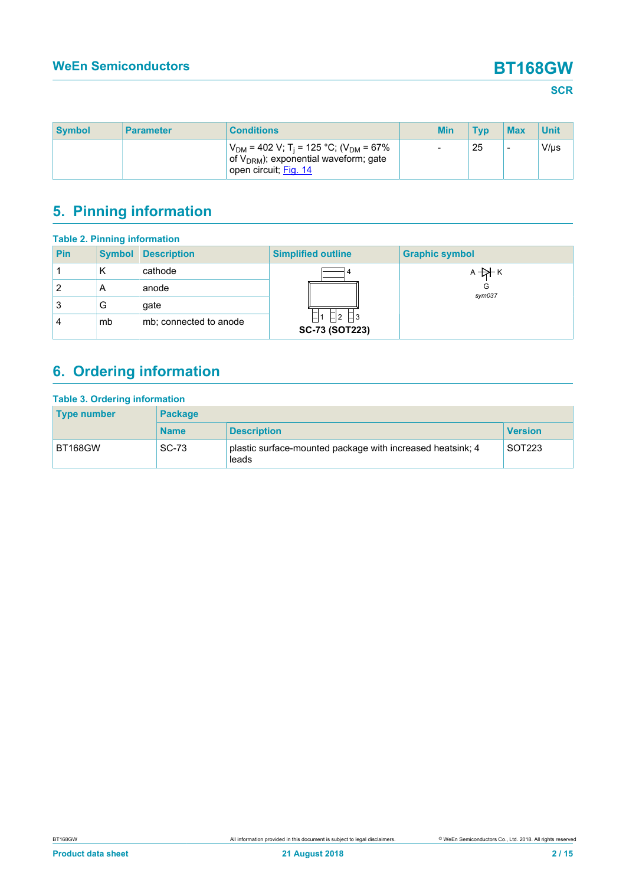### **SCR**

| <b>Symbol</b> | <b>Parameter</b> | <b>Conditions</b>                                                                                                                        | <b>Min</b>               | <b>Tvp</b> | <b>Max</b>               | <b>Unit</b> |
|---------------|------------------|------------------------------------------------------------------------------------------------------------------------------------------|--------------------------|------------|--------------------------|-------------|
|               |                  | $V_{DM}$ = 402 V; T <sub>i</sub> = 125 °C; (V <sub>DM</sub> = 67%<br>of $V_{DRM}$ ); exponential waveform; gate<br>open circuit; Fig. 14 | $\overline{\phantom{a}}$ | 25         | $\overline{\phantom{a}}$ | $V/\mu s$   |

# <span id="page-1-0"></span>**5. Pinning information**

| <b>Table 2. Pinning information</b> |               |                        |                                        |                       |  |  |
|-------------------------------------|---------------|------------------------|----------------------------------------|-----------------------|--|--|
| <b>Pin</b>                          | <b>Symbol</b> | <b>Description</b>     | <b>Simplified outline</b>              | <b>Graphic symbol</b> |  |  |
|                                     | Κ             | cathode                |                                        | $A + A$               |  |  |
| 2                                   | A             | anode                  |                                        | G<br>sym037           |  |  |
| 3                                   | G             | gate                   |                                        |                       |  |  |
| 4                                   | mb            | mb; connected to anode | $ -2 $ $- 3 $<br><b>SC-73 (SOT223)</b> |                       |  |  |

# <span id="page-1-1"></span>**6. Ordering information**

| <b>Table 3. Ordering information</b><br><b>Type number</b> | <b>Package</b> |                                                                     |                    |  |  |  |
|------------------------------------------------------------|----------------|---------------------------------------------------------------------|--------------------|--|--|--|
|                                                            | <b>Name</b>    | <b>Description</b>                                                  | <b>Version</b>     |  |  |  |
| <b>BT168GW</b>                                             | <b>SC-73</b>   | plastic surface-mounted package with increased heatsink; 4<br>leads | SOT <sub>223</sub> |  |  |  |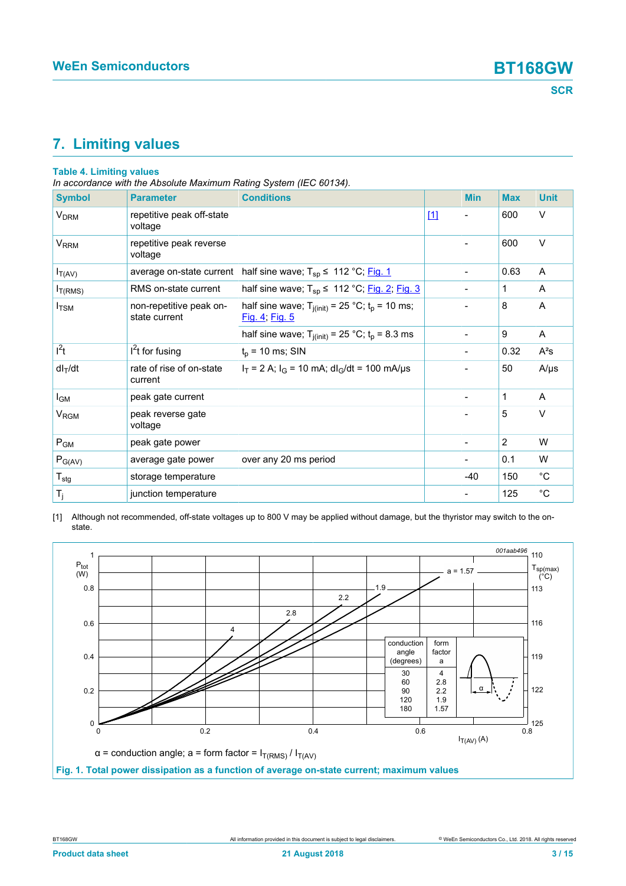## <span id="page-2-2"></span><span id="page-2-1"></span>**7. Limiting values**

### **Table 4. Limiting values**

*In accordance with the Absolute Maximum Rating System (IEC 60134).*

| <b>Symbol</b>              | <b>Parameter</b>                         | <b>Conditions</b>                                                       |       | <b>Min</b>     | <b>Max</b> | <b>Unit</b> |
|----------------------------|------------------------------------------|-------------------------------------------------------------------------|-------|----------------|------------|-------------|
| <b>V<sub>DRM</sub></b>     | repetitive peak off-state<br>voltage     |                                                                         | $[1]$ | $\blacksquare$ | 600        | $\vee$      |
| <b>V<sub>RRM</sub></b>     | repetitive peak reverse<br>voltage       |                                                                         |       |                | 600        | $\vee$      |
| $I_{T(AV)}$                | average on-state current                 | half sine wave; $T_{sp} \le 112 °C$ ; Fig. 1                            |       |                | 0.63       | A           |
| $I_{T(RMS)}$               | RMS on-state current                     | half sine wave; $T_{sp} \le 112 °C$ ; Fig. 2; Fig. 3                    |       |                | 1          | A           |
| $I_{\rm TSM}$              | non-repetitive peak on-<br>state current | half sine wave; $T_{j(int)} = 25 °C$ ; $t_p = 10$ ms;<br>Fig. 4; Fig. 5 |       |                | 8          | A           |
|                            |                                          | half sine wave; $T_{j(int)} = 25 °C$ ; $t_p = 8.3$ ms                   |       |                | 9          | A           |
| $l^2t$                     | $I2t$ for fusing                         | $t_p$ = 10 ms; SIN                                                      |       |                | 0.32       | $A^2s$      |
| $dl_T/dt$                  | rate of rise of on-state<br>current      | $I_T = 2$ A; $I_G = 10$ mA; dl <sub>G</sub> /dt = 100 mA/µs             |       |                | 50         | $A/\mu s$   |
| $I_{\mathsf{GM}}$          | peak gate current                        |                                                                         |       |                | 1          | A           |
| V <sub>RGM</sub>           | peak reverse gate<br>voltage             |                                                                         |       |                | 5          | V           |
| $P_{GM}$                   | peak gate power                          |                                                                         |       |                | 2          | W           |
| $P_{G(AV)}$                | average gate power                       | over any 20 ms period                                                   |       |                | 0.1        | W           |
| ${\mathsf T}_{\text{stg}}$ | storage temperature                      |                                                                         |       | $-40$          | 150        | $^{\circ}C$ |
| T <sub>j</sub>             | junction temperature                     |                                                                         |       |                | 125        | $^{\circ}C$ |

[1] Although not recommended, off-state voltages up to 800 V may be applied without damage, but the thyristor may switch to the onstate.

<span id="page-2-0"></span>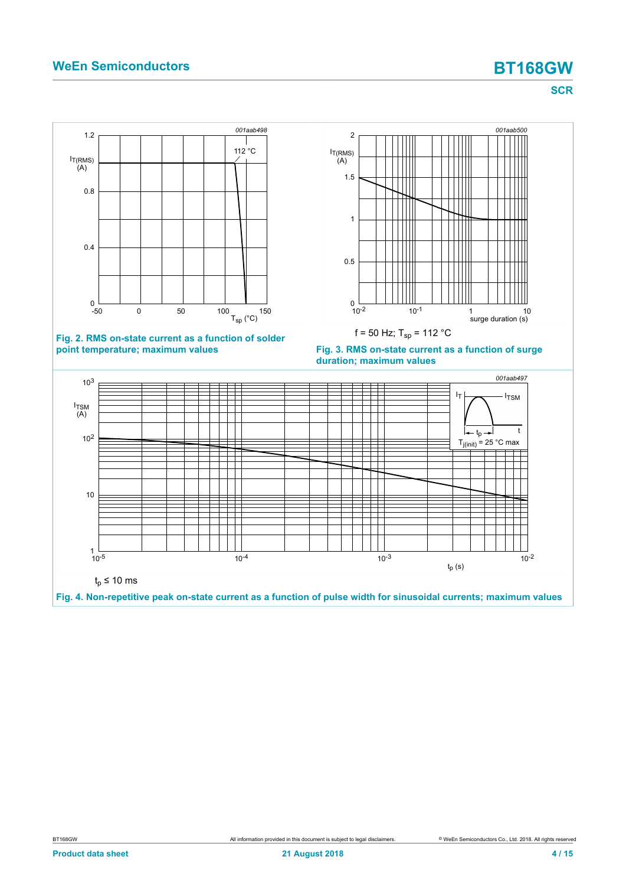<span id="page-3-2"></span><span id="page-3-1"></span><span id="page-3-0"></span>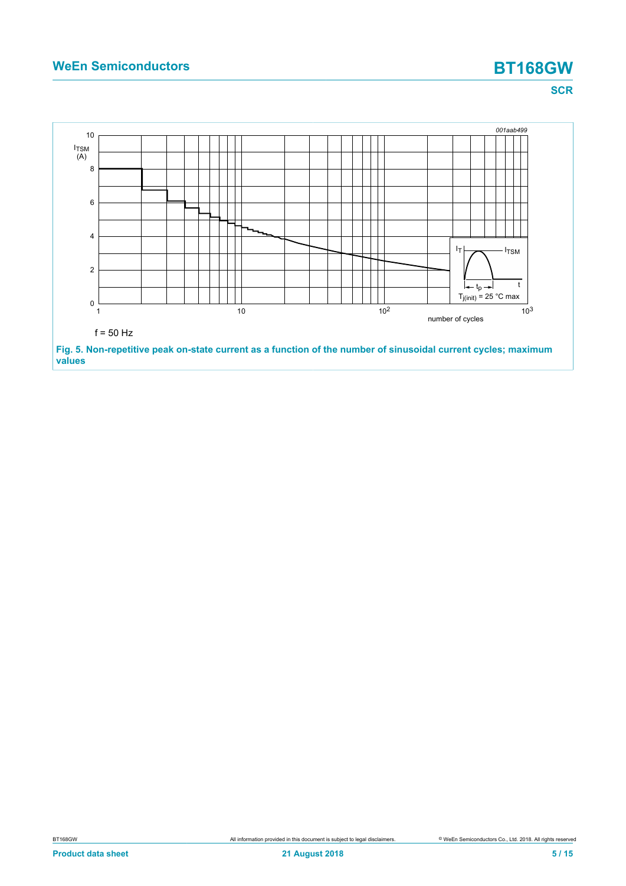<span id="page-4-0"></span>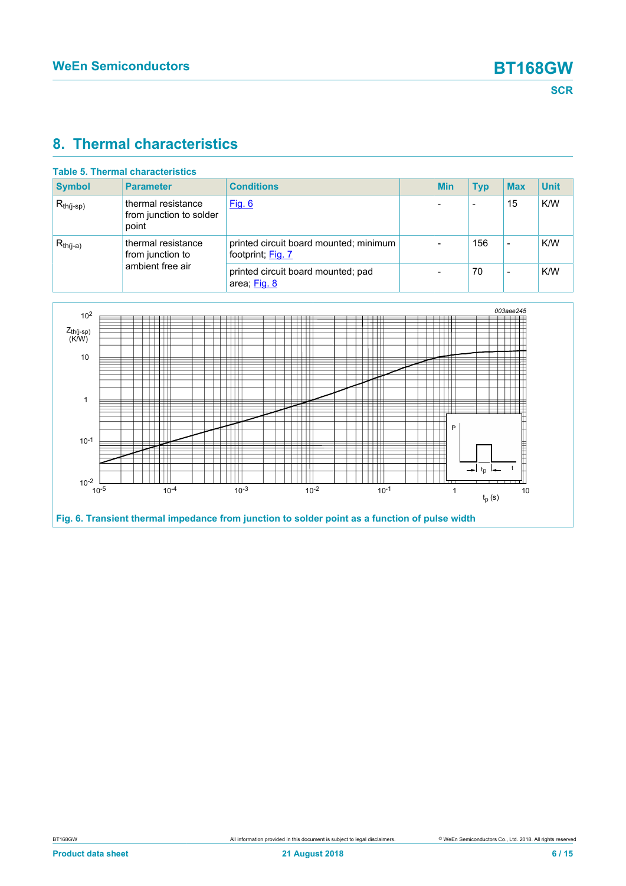### <span id="page-5-1"></span>**8. Thermal characteristics**

| Table 5. Thermal characteristics |                                                            |                                                             |  |            |                          |            |             |  |
|----------------------------------|------------------------------------------------------------|-------------------------------------------------------------|--|------------|--------------------------|------------|-------------|--|
| <b>Symbol</b>                    | <b>Parameter</b>                                           | <b>Conditions</b>                                           |  | <b>Min</b> | <b>Typ</b>               | <b>Max</b> | <b>Unit</b> |  |
| $R_{th(j-sp)}$                   | thermal resistance<br>from junction to solder<br>point     | <u>Fig. 6</u>                                               |  |            | $\overline{\phantom{0}}$ | 15         | K/W         |  |
| $R_{th(i-a)}$                    | thermal resistance<br>from junction to<br>ambient free air | printed circuit board mounted; minimum<br>footprint; Fig. 7 |  |            | 156                      | -          | K/W         |  |
|                                  |                                                            | printed circuit board mounted; pad<br>area; Fig. 8          |  |            | 70                       |            | K/W         |  |

<span id="page-5-0"></span>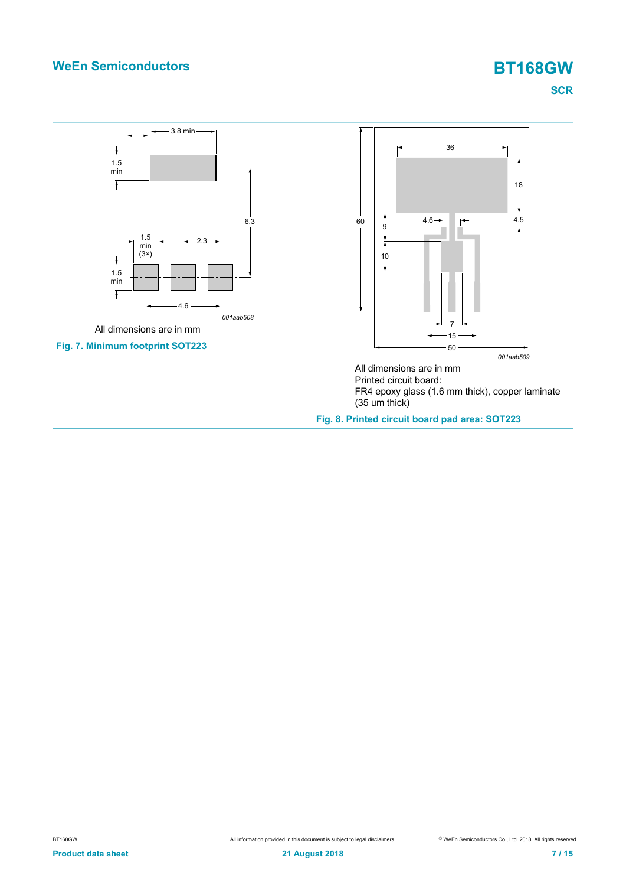<span id="page-6-1"></span><span id="page-6-0"></span>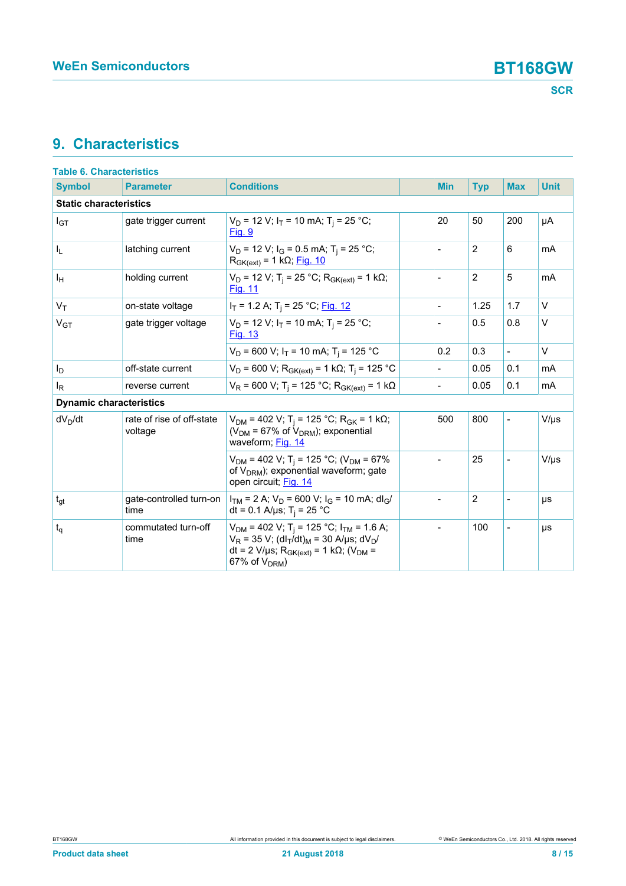## <span id="page-7-0"></span>**9. Characteristics**

| <b>Table 6. Characteristics</b> |                                      |                                                                                                                                                                                                                                                     |                          |                |                          |             |  |  |
|---------------------------------|--------------------------------------|-----------------------------------------------------------------------------------------------------------------------------------------------------------------------------------------------------------------------------------------------------|--------------------------|----------------|--------------------------|-------------|--|--|
| <b>Symbol</b>                   | <b>Parameter</b>                     | <b>Conditions</b>                                                                                                                                                                                                                                   | <b>Min</b>               | <b>Typ</b>     | <b>Max</b>               | <b>Unit</b> |  |  |
| <b>Static characteristics</b>   |                                      |                                                                                                                                                                                                                                                     |                          |                |                          |             |  |  |
| $I_{GT}$                        | gate trigger current                 | $V_D$ = 12 V; I <sub>T</sub> = 10 mA; T <sub>i</sub> = 25 °C;<br>Fig. 9                                                                                                                                                                             | 20                       | 50             | 200                      | μA          |  |  |
| I <sub>L</sub>                  | latching current                     | $V_D$ = 12 V; $I_G$ = 0.5 mA; T <sub>i</sub> = 25 °C;<br>$R_{GK(ext)} = 1 k\Omega$ ; Fig. 10                                                                                                                                                        | $\overline{a}$           | $\overline{2}$ | 6                        | mA          |  |  |
| Iн                              | holding current                      | $V_D$ = 12 V; T <sub>i</sub> = 25 °C; R <sub>GK(ext)</sub> = 1 kΩ;<br>Fig. 11                                                                                                                                                                       | $\overline{a}$           | $\overline{2}$ | 5                        | mA          |  |  |
| $V_T$                           | on-state voltage                     | $I_T$ = 1.2 A; T <sub>i</sub> = 25 °C; <u>Fig. 12</u>                                                                                                                                                                                               |                          | 1.25           | 1.7                      | $\vee$      |  |  |
| $V_{GT}$                        | gate trigger voltage                 | $V_D$ = 12 V; I <sub>T</sub> = 10 mA; T <sub>i</sub> = 25 °C;<br><b>Fig. 13</b>                                                                                                                                                                     |                          | 0.5            | 0.8                      | $\vee$      |  |  |
|                                 |                                      | $V_D$ = 600 V; $I_T$ = 10 mA; T <sub>i</sub> = 125 °C                                                                                                                                                                                               | 0.2                      | 0.3            | $\overline{\phantom{a}}$ | $\vee$      |  |  |
| I <sub>D</sub>                  | off-state current                    | $V_D$ = 600 V; R <sub>GK(ext)</sub> = 1 kΩ; T <sub>j</sub> = 125 °C                                                                                                                                                                                 | $\overline{\phantom{0}}$ | 0.05           | 0.1                      | mA          |  |  |
| l <sub>R</sub>                  | reverse current                      | $V_R$ = 600 V; T <sub>i</sub> = 125 °C; R <sub>GK(ext)</sub> = 1 k $\Omega$                                                                                                                                                                         | $\overline{a}$           | 0.05           | 0.1                      | mA          |  |  |
| <b>Dynamic characteristics</b>  |                                      |                                                                                                                                                                                                                                                     |                          |                |                          |             |  |  |
| $dV_D/dt$                       | rate of rise of off-state<br>voltage | $V_{DM}$ = 402 V; T <sub>i</sub> = 125 °C; R <sub>GK</sub> = 1 kΩ;<br>( $V_{DM}$ = 67% of $V_{DRM}$ ); exponential<br>waveform; Fig. 14                                                                                                             | 500                      | 800            | $\frac{1}{2}$            | $V/\mu s$   |  |  |
|                                 |                                      | $V_{DM}$ = 402 V; T <sub>i</sub> = 125 °C; (V <sub>DM</sub> = 67%<br>of V <sub>DRM</sub> ); exponential waveform; gate<br>open circuit; Fig. 14                                                                                                     | $\overline{a}$           | 25             | $\overline{a}$           | $V/\mu s$   |  |  |
| $t_{gt}$                        | gate-controlled turn-on<br>time      | $I_{TM}$ = 2 A; $V_D$ = 600 V; $I_G$ = 10 mA; dl <sub>G</sub> /<br>dt = 0.1 A/µs; T <sub>i</sub> = 25 °C                                                                                                                                            |                          | $\overline{2}$ |                          | μs          |  |  |
| $t_q$                           | commutated turn-off<br>time          | $V_{DM}$ = 402 V; T <sub>i</sub> = 125 °C; I <sub>TM</sub> = 1.6 A;<br>$V_R$ = 35 V; (dl <sub>T</sub> /dt) <sub>M</sub> = 30 A/µs; dV <sub>D</sub> /<br>dt = 2 V/µs; R <sub>GK(ext)</sub> = 1 k $\Omega$ ; (V <sub>DM</sub> =<br>67% of $V_{DRM}$ ) |                          | 100            |                          | μs          |  |  |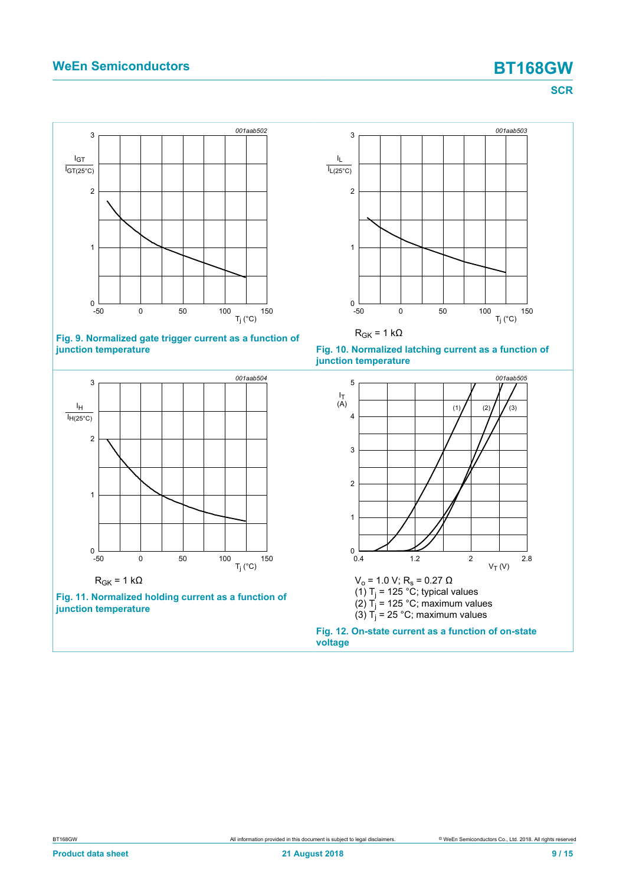**SCR**

<span id="page-8-0"></span>

### **Fig. 9. Normalized gate trigger current as a function of junction temperature**

<span id="page-8-2"></span>

<span id="page-8-1"></span>





<span id="page-8-3"></span>

**Fig. 12. On-state current as a function of on-state voltage**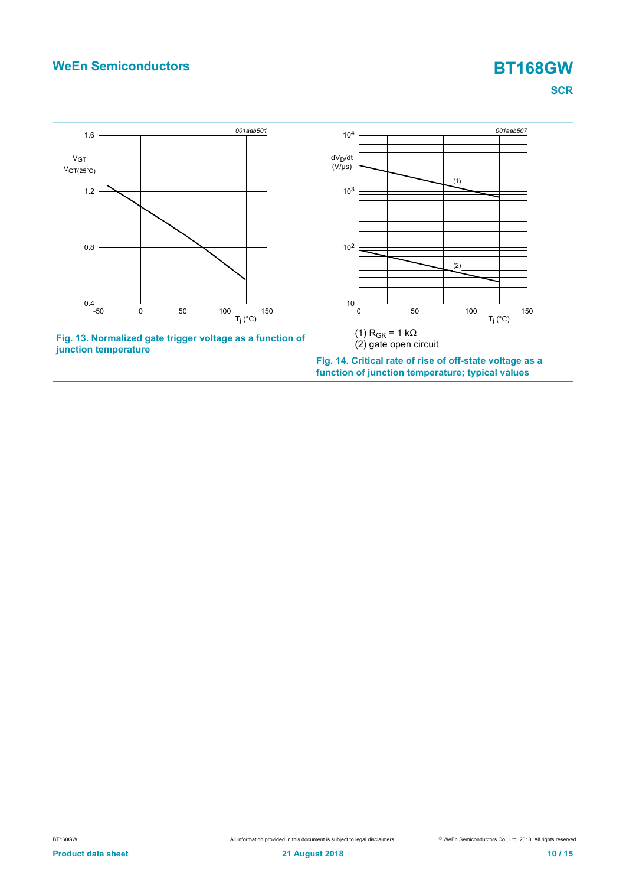<span id="page-9-1"></span><span id="page-9-0"></span>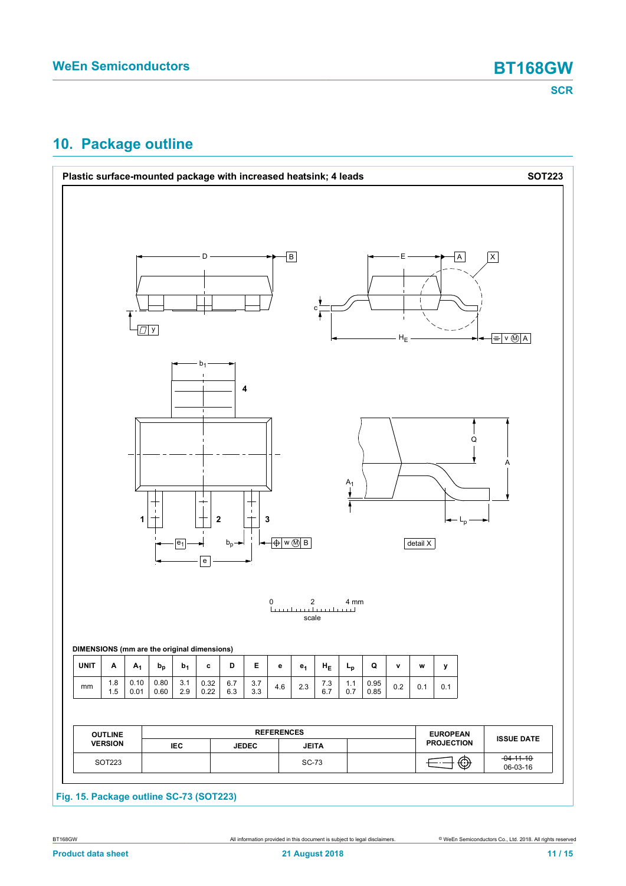## <span id="page-10-0"></span>**10. Package outline**

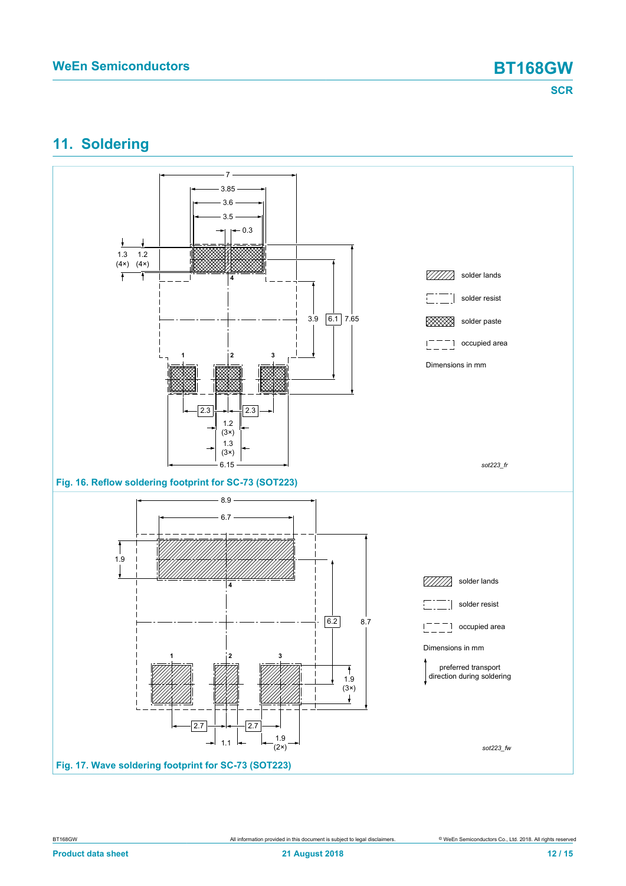## <span id="page-11-0"></span>**11. Soldering**

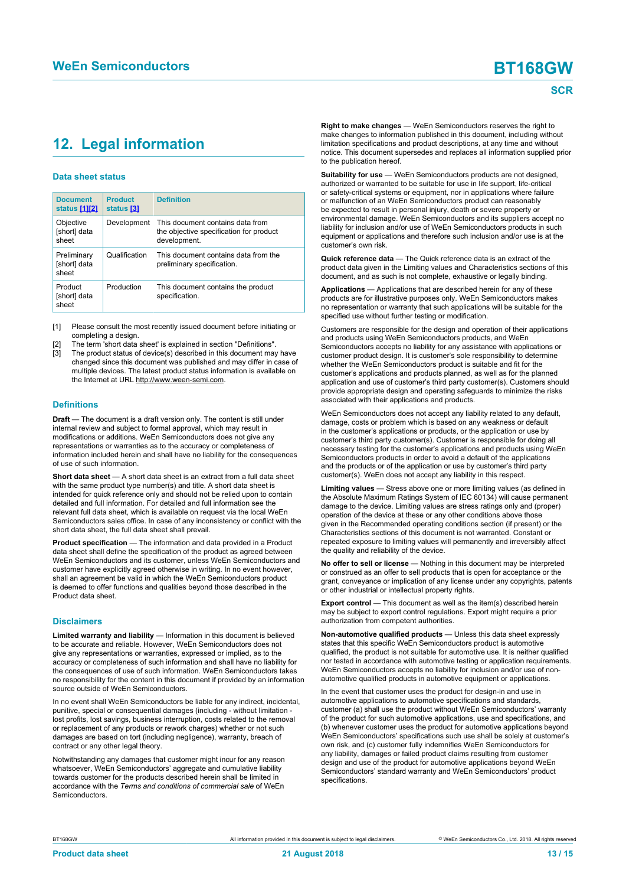## <span id="page-12-1"></span><span id="page-12-0"></span>**12. Legal information**

### **Data sheet status**

| <b>Document</b><br>status [1][2]     | <b>Product</b><br>status [3] | <b>Definition</b>                                                                           |
|--------------------------------------|------------------------------|---------------------------------------------------------------------------------------------|
| Objective<br>[short] data<br>sheet   | Development                  | This document contains data from<br>the objective specification for product<br>development. |
| Preliminary<br>[short] data<br>sheet | Qualification                | This document contains data from the<br>preliminary specification.                          |
| Product<br>[short] data<br>sheet     | Production                   | This document contains the product<br>specification.                                        |

[1] Please consult the most recently issued document before initiating or completing a design.

- The term 'short data sheet' is explained in section "Definitions".
- The product status of device(s) described in this document may have changed since this document was published and may differ in case of multiple devices. The latest product status information is available on the Internet at URL http://www.ween-semi.com.

### **Definitions**

**Draft** — The document is a draft version only. The content is still under internal review and subject to formal approval, which may result in modifications or additions. WeEn Semiconductors does not give any representations or warranties as to the accuracy or completeness of information included herein and shall have no liability for the consequences of use of such information.

**Short data sheet** — A short data sheet is an extract from a full data sheet with the same product type number(s) and title. A short data sheet is intended for quick reference only and should not be relied upon to contain detailed and full information. For detailed and full information see the relevant full data sheet, which is available on request via the local WeEn Semiconductors sales office. In case of any inconsistency or conflict with the short data sheet, the full data sheet shall prevail.

**Product specification** — The information and data provided in a Product data sheet shall define the specification of the product as agreed between WeEn Semiconductors and its customer, unless WeEn Semiconductors and customer have explicitly agreed otherwise in writing. In no event however, shall an agreement be valid in which the WeEn Semiconductors product is deemed to offer functions and qualities beyond those described in the Product data sheet.

### **Disclaimers**

**Limited warranty and liability** — Information in this document is believed to be accurate and reliable. However, WeEn Semiconductors does not give any representations or warranties, expressed or implied, as to the accuracy or completeness of such information and shall have no liability for the consequences of use of such information. WeEn Semiconductors takes no responsibility for the content in this document if provided by an information source outside of WeEn Semiconductors.

In no event shall WeEn Semiconductors be liable for any indirect, incidental, punitive, special or consequential damages (including - without limitation lost profits, lost savings, business interruption, costs related to the removal or replacement of any products or rework charges) whether or not such damages are based on tort (including negligence), warranty, breach of contract or any other legal theory.

Notwithstanding any damages that customer might incur for any reason whatsoever, WeEn Semiconductors' aggregate and cumulative liability towards customer for the products described herein shall be limited in accordance with the *Terms and conditions of commercial sale* of WeEn **Semiconductors** 

**Right to make changes** — WeEn Semiconductors reserves the right to make changes to information published in this document, including without limitation specifications and product descriptions, at any time and without notice. This document supersedes and replaces all information supplied prior to the publication hereof.

**Suitability for use** — WeEn Semiconductors products are not designed, authorized or warranted to be suitable for use in life support, life-critical or safety-critical systems or equipment, nor in applications where failure or malfunction of an WeEn Semiconductors product can reasonably be expected to result in personal injury, death or severe property or environmental damage. WeEn Semiconductors and its suppliers accept no liability for inclusion and/or use of WeEn Semiconductors products in such equipment or applications and therefore such inclusion and/or use is at the customer's own risk.

**Quick reference data** — The Quick reference data is an extract of the product data given in the Limiting values and Characteristics sections of this document, and as such is not complete, exhaustive or legally binding.

**Applications** — Applications that are described herein for any of these products are for illustrative purposes only. WeEn Semiconductors makes no representation or warranty that such applications will be suitable for the specified use without further testing or modification.

Customers are responsible for the design and operation of their applications and products using WeEn Semiconductors products, and WeEn Semiconductors accepts no liability for any assistance with applications or customer product design. It is customer's sole responsibility to determine whether the WeEn Semiconductors product is suitable and fit for the customer's applications and products planned, as well as for the planned application and use of customer's third party customer(s). Customers should provide appropriate design and operating safeguards to minimize the risks associated with their applications and products.

WeEn Semiconductors does not accept any liability related to any default, damage, costs or problem which is based on any weakness or default in the customer's applications or products, or the application or use by customer's third party customer(s). Customer is responsible for doing all necessary testing for the customer's applications and products using WeEn Semiconductors products in order to avoid a default of the applications and the products or of the application or use by customer's third party customer(s). WeEn does not accept any liability in this respect.

**Limiting values** — Stress above one or more limiting values (as defined in the Absolute Maximum Ratings System of IEC 60134) will cause permanent damage to the device. Limiting values are stress ratings only and (proper) operation of the device at these or any other conditions above those given in the Recommended operating conditions section (if present) or the Characteristics sections of this document is not warranted. Constant or repeated exposure to limiting values will permanently and irreversibly affect the quality and reliability of the device.

**No offer to sell or license** — Nothing in this document may be interpreted or construed as an offer to sell products that is open for acceptance or the grant, conveyance or implication of any license under any copyrights, patents or other industrial or intellectual property rights.

**Export control** — This document as well as the item(s) described herein may be subject to export control regulations. Export might require a prior authorization from competent authorities.

**Non-automotive qualified products** — Unless this data sheet expressly states that this specific WeEn Semiconductors product is automotive qualified, the product is not suitable for automotive use. It is neither qualified nor tested in accordance with automotive testing or application requirements. WeEn Semiconductors accepts no liability for inclusion and/or use of nonautomotive qualified products in automotive equipment or applications.

In the event that customer uses the product for design-in and use in automotive applications to automotive specifications and standards, customer (a) shall use the product without WeEn Semiconductors' warranty of the product for such automotive applications, use and specifications, and (b) whenever customer uses the product for automotive applications beyond WeEn Semiconductors' specifications such use shall be solely at customer's own risk, and (c) customer fully indemnifies WeEn Semiconductors for any liability, damages or failed product claims resulting from customer design and use of the product for automotive applications beyond WeEn Semiconductors' standard warranty and WeEn Semiconductors' product specifications.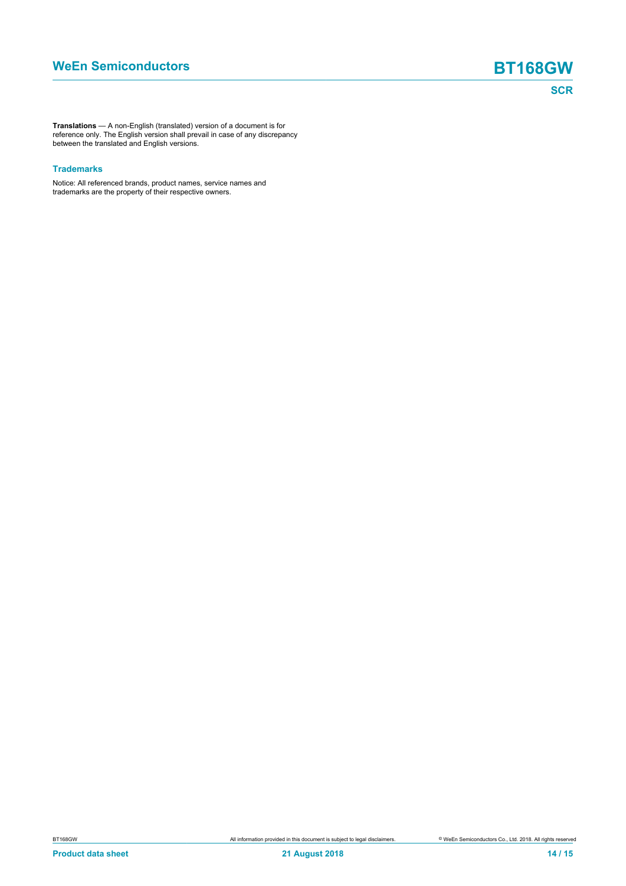**Translations** — A non-English (translated) version of a document is for reference only. The English version shall prevail in case of any discrepancy between the translated and English versions.

### **Trademarks**

Notice: All referenced brands, product names, service names and trademarks are the property of their respective owners.